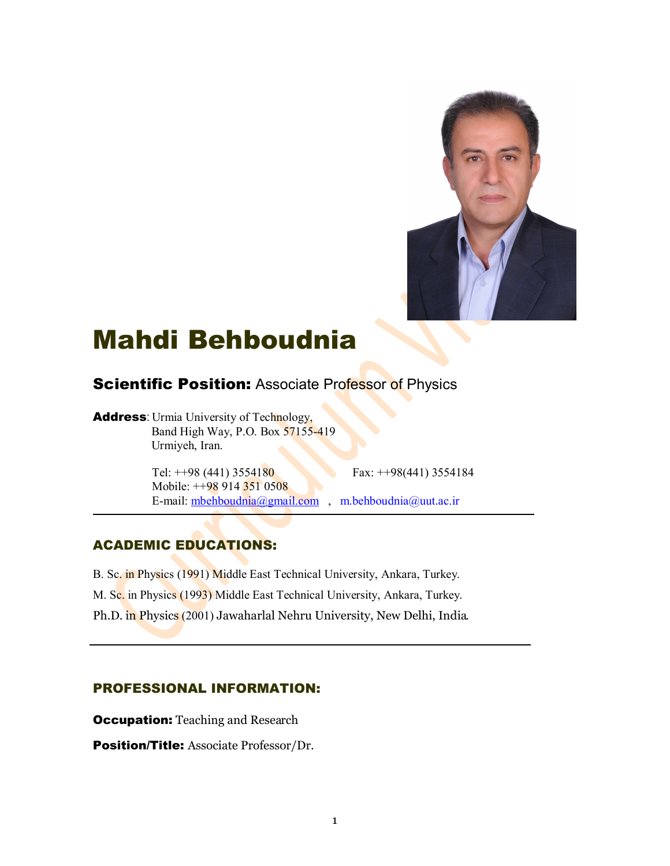

# Mahdi Behboudnia

# **Scientific Position: Associate Professor of Physics**

Address: Urmia University of Technology, Band High Way, P.O. Box 57155-419 Urmiyeh, Iran.

Tel: ++98 (441) 3554180 Fax: ++98 (441) 3554184

 Mobile: ++98 914 351 0508 E-mail: mbehboudnia@gmail.com , m.behboudnia@uut.ac.ir

## ACADEMIC EDUCATIONS:

- B. Sc. in Physics (1991) Middle East Technical University, Ankara, Turkey.
- M. Sc. in Physics (1993) Middle East Technical University, Ankara, Turkey.
- Ph.D. in Physics (2001) Jawaharlal Nehru University, New Delhi, India.

## PROFESSIONAL INFORMATION:

**Occupation:** Teaching and Research

Position/Title: Associate Professor/Dr.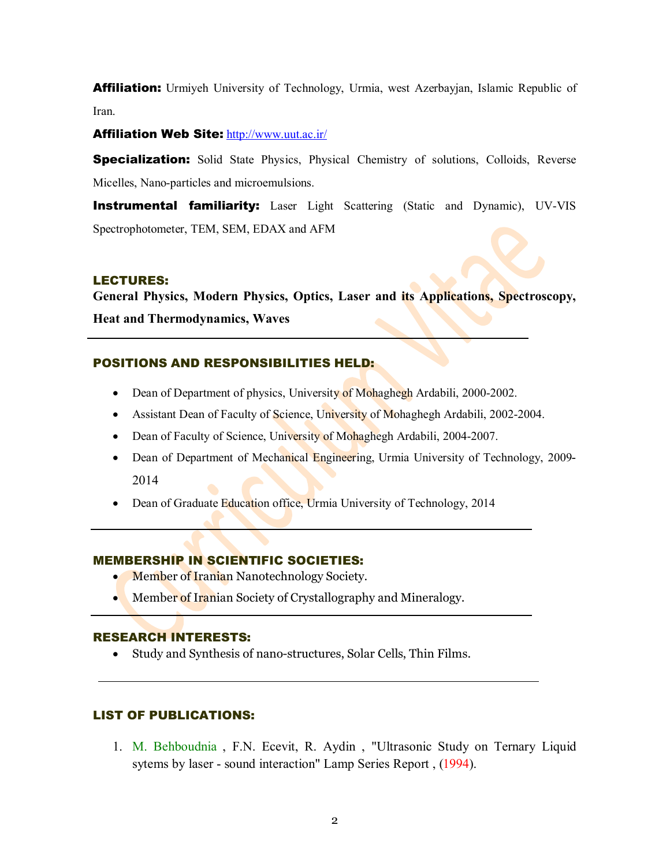**Affiliation:** Urmiyeh University of Technology, Urmia, west Azerbayjan, Islamic Republic of Iran.

Affiliation Web Site: http://www.uut.ac.ir/

**Specialization:** Solid State Physics, Physical Chemistry of solutions, Colloids, Reverse Micelles, Nano-particles and microemulsions.

**Instrumental familiarity:** Laser Light Scattering (Static and Dynamic), UV-VIS Spectrophotometer, TEM, SEM, EDAX and AFM

#### LECTURES:

**General Physics, Modern Physics, Optics, Laser and its Applications, Spectroscopy, Heat and Thermodynamics, Waves**

## POSITIONS AND RESPONSIBILITIES HELD:

- Dean of Department of physics, University of Mohaghegh Ardabili, 2000-2002.
- Assistant Dean of Faculty of Science, University of Mohaghegh Ardabili, 2002-2004.
- Dean of Faculty of Science, University of Mohaghegh Ardabili, 2004-2007.
- Dean of Department of Mechanical Engineering, Urmia University of Technology, 2009-2014
- Dean of Graduate Education office, Urmia University of Technology, 2014

## MEMBERSHIP IN SCIENTIFIC SOCIETIES:

- Member of Iranian Nanotechnology Society.
- Member of Iranian Society of Crystallography and Mineralogy.

#### RESEARCH INTERESTS:

Study and Synthesis of nano-structures, Solar Cells, Thin Films.

#### LIST OF PUBLICATIONS:

1. M. Behboudnia , F.N. Ecevit, R. Aydin , "Ultrasonic Study on Ternary Liquid sytems by laser - sound interaction" Lamp Series Report , (1994).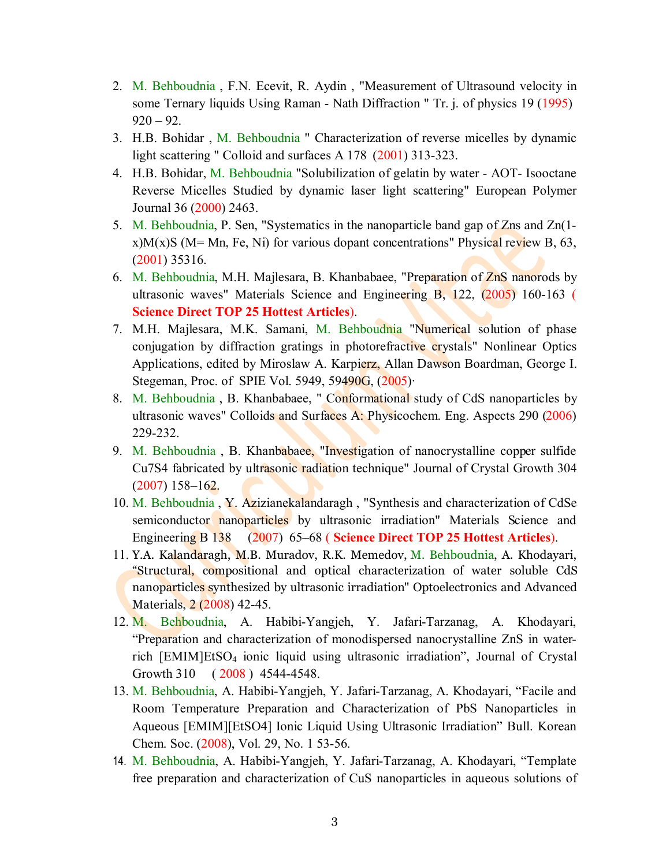- 2. M. Behboudnia , F.N. Ecevit, R. Aydin , "Measurement of Ultrasound velocity in some Ternary liquids Using Raman - Nath Diffraction " Tr. j. of physics 19 (1995)  $920 - 92$ .
- 3. H.B. Bohidar , M. Behboudnia " Characterization of reverse micelles by dynamic light scattering " Colloid and surfaces A 178 (2001) 313-323.
- 4. H.B. Bohidar, M. Behboudnia "Solubilization of gelatin by water AOT- Isooctane Reverse Micelles Studied by dynamic laser light scattering" European Polymer Journal 36 (2000) 2463.
- 5. M. Behboudnia, P. Sen, "Systematics in the nanoparticle band gap of Zns and Zn(1 x)M(x)S (M= Mn, Fe, Ni) for various dopant concentrations" Physical review B, 63, (2001) 35316.
- 6. M. Behboudnia, M.H. Majlesara, B. Khanbabaee, "Preparation of ZnS nanorods by ultrasonic waves" Materials Science and Engineering B, 122, (2005) 160-163 (
- **Science Direct TOP 25 Hottest Articles**). 7. M.H. Majlesara, M.K. Samani, M. Behboudnia "Numerical solution of phase conjugation by diffraction gratings in photorefractive crystals" Nonlinear Optics Applications, edited by Miroslaw A. Karpierz, Allan Dawson Boardman, George I. Stegeman, Proc. of SPIE Vol. 5949, 59490G, (2005)·
- 8. M. Behboudnia , B. Khanbabaee, " Conformational study of CdS nanoparticles by ultrasonic waves" Colloids and Surfaces A: Physicochem. Eng. Aspects 290 (2006) 229-232.
- 9. M. Behboudnia, B. Khanbabaee, "Investigation of nanocrystalline copper sulfide Cu7S4 fabricated by ultrasonic radiation technique" Journal of Crystal Growth 304 (2007) 158–162.
- 10. M. Behboudnia , Y. Azizianekalandaragh , "Synthesis and characterization of CdSe semiconductor nanoparticles by ultrasonic irradiation" Materials Science and Engineering B 138 (2007) 65–68 ( **Science Direct TOP 25 Hottest Articles**).
- 11. Y.A. Kalandaragh, M.B. Muradov, R.K. Memedov, M. Behboudnia, A. Khodayari, "Structural, compositional and optical characterization of water soluble CdS nanoparticles synthesized by ultrasonic irradiation" Optoelectronics and Advanced Materials, 2 (2008) 42-45.
- 12. M. Behboudnia, A. Habibi-Yangjeh, Y. Jafari-Tarzanag, A. Khodayari, "Preparation and characterization of monodispersed nanocrystalline ZnS in waterrich [EMIM]EtSO<sup>4</sup> ionic liquid using ultrasonic irradiation", Journal of Crystal Growth 310 (2008) 4544-4548.
- 13. M. Behboudnia, A. Habibi-Yangjeh, Y. Jafari-Tarzanag, A. Khodayari, "Facile and Room Temperature Preparation and Characterization of PbS Nanoparticles in Aqueous [EMIM][EtSO4] Ionic Liquid Using Ultrasonic Irradiation" Bull. Korean Chem. Soc. (2008), Vol. 29, No. 1 53-56.
- 14. M. Behboudnia, A. Habibi-Yangjeh, Y. Jafari-Tarzanag, A. Khodayari, "Template free preparation and characterization of CuS nanoparticles in aqueous solutions of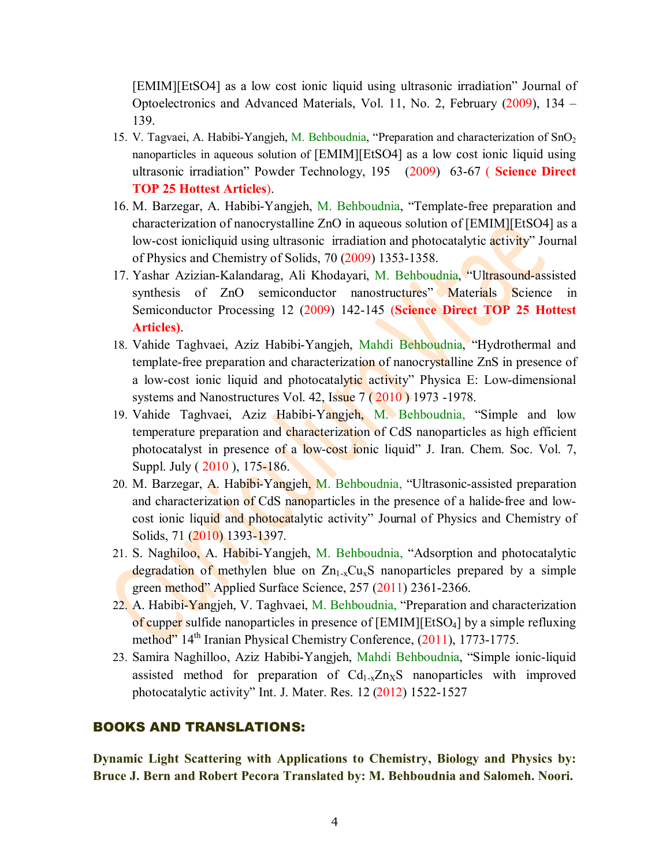[EMIM][EtSO4] as a low cost ionic liquid using ultrasonic irradiation" Journal of Optoelectronics and Advanced Materials, Vol. 11, No. 2, February (2009), 134 – 139.

- 15. V. Tagvaei, A. Habibi-Yangjeh, M. Behboudnia, "Preparation and characterization of  $SnO<sub>2</sub>$ nanoparticles in aqueous solution of [EMIM][EtSO4] as a low cost ionic liquid using ultrasonic irradiation" Powder Technology, 195 (2009) 63-67 ( **Science Direct TOP 25 Hottest Articles**).
- 16. M. Barzegar, A. Habibi-Yangjeh, M. Behboudnia, "Template-free preparation and characterization of nanocrystalline ZnO in aqueous solution of [EMIM][EtSO4] as a low-cost ionicliquid using ultrasonic irradiation and photocatalytic activity" Journal of Physics and Chemistry of Solids, 70 (2009) 1353-1358.
- 17. Yashar Azizian-Kalandarag, Ali Khodayari, M. Behboudnia, "Ultrasound-assisted synthesis of ZnO semiconductor nanostructures" Materials Science in Semiconductor Processing 12 (2009) 142-145 (**Science Direct TOP 25 Hottest Articles)**.
- 18. Vahide Taghvaei, Aziz Habibi-Yangjeh, Mahdi Behboudnia, "Hydrothermal and template-free preparation and characterization of nanocrystalline ZnS in presence of a low-cost ionic liquid and photocatalytic activity" Physica E: Low-dimensional systems and Nanostructures Vol. 42, Issue 7 ( 2010 ) 1973 -1978.
- 19. Vahide Taghvaei, Aziz Habibi-Yangjeh, M. Behboudnia, "Simple and low temperature preparation and characterization of CdS nanoparticles as high efficient photocatalyst in presence of a low-cost ionic liquid" J. Iran. Chem. Soc. Vol. 7, Suppl. July ( 2010 ), 175-186.
- 20. M. Barzegar, A. Habibi-Yangjeh, M. Behboudnia, "Ultrasonic-assisted preparation and characterization of CdS nanoparticles in the presence of a halide-free and low cost ionic liquid and photocatalytic activity" Journal of Physics and Chemistry of Solids, 71 (2010) 1393-1397.
- 21. S. Naghiloo, A. Habibi-Yangjeh, M. Behboudnia, "Adsorption and photocatalytic degradation of methylen blue on  $Zn_1$ <sub>x</sub>Cu<sub>x</sub>S nanoparticles prepared by a simple green method" Applied Surface Science, 257 (2011) 2361-2366.
- 22. A. Habibi-Yangjeh, V. Taghvaei, M. Behboudnia, "Preparation and characterization of cupper sulfide nanoparticles in presence of [EMIM][EtSO4] by a simple refluxing method" 14<sup>th</sup> Iranian Physical Chemistry Conference, (2011), 1773-1775.
- 23. Samira Naghilloo, Aziz Habibi-Yangjeh, Mahdi Behboudnia, "Simple ionic-liquid assisted method for preparation of  $Cd<sub>1-x</sub>Zn<sub>x</sub>S$  nanoparticles with improved photocatalytic activity" Int. J. Mater. Res. 12 (2012) 1522-1527

#### BOOKS AND TRANSLATIONS:

**Dynamic Light Scattering with Applications to Chemistry, Biology and Physics by: Bruce J. Bern and Robert Pecora Translated by: M. Behboudnia and Salomeh. Noori.**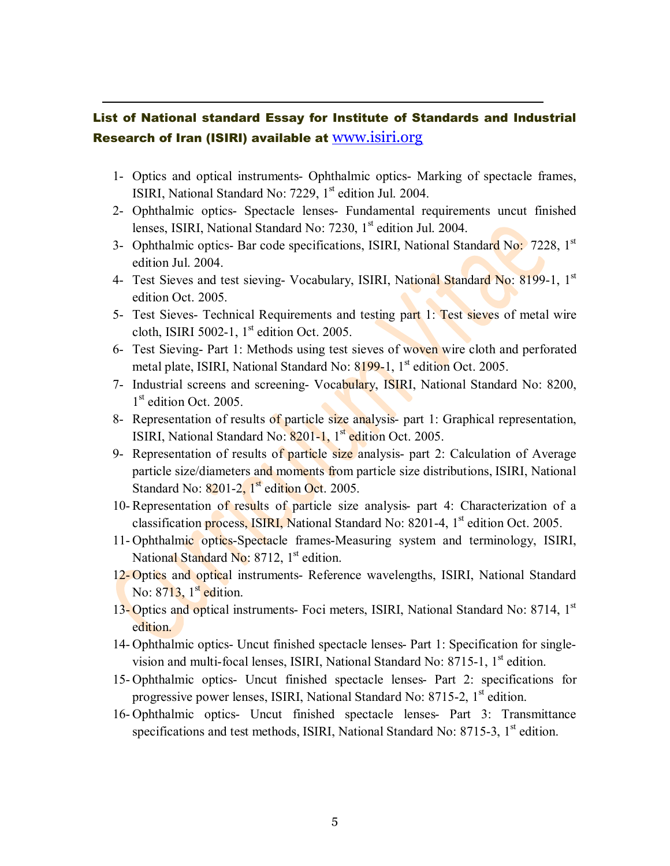## List of National standard Essay for Institute of Standards and Industrial Research of Iran (ISIRI) available at www.isiri.org

- 1- Optics and optical instruments- Ophthalmic optics- Marking of spectacle frames, ISIRI, National Standard No: 7229, 1<sup>st</sup> edition Jul. 2004.
- 2- Ophthalmic optics- Spectacle lenses- Fundamental requirements uncut finished lenses, ISIRI, National Standard No: 7230, 1<sup>st</sup> edition Jul. 2004.
- 3- Ophthalmic optics- Bar code specifications, ISIRI, National Standard No: 7228, 1<sup>st</sup> edition Jul. 2004.
- 4- Test Sieves and test sieving- Vocabulary, ISIRI, National Standard No: 8199-1, 1<sup>st</sup> edition Oct. 2005.
- 5- Test Sieves- Technical Requirements and testing part 1: Test sieves of metal wire cloth, ISIRI 5002-1,  $1<sup>st</sup>$  edition Oct. 2005.
- 6- Test Sieving- Part 1: Methods using test sieves of woven wire cloth and perforated metal plate, ISIRI, National Standard No: 8199-1, 1<sup>st</sup> edition Oct. 2005.
- 7- Industrial screens and screening- Vocabulary, ISIRI, National Standard No: 8200, 1<sup>st</sup> edition Oct. 2005.
- 8- Representation of results of particle size analysis- part 1: Graphical representation, ISIRI, National Standard No: 8201-1, 1<sup>st</sup> edition Oct. 2005.
- 9- Representation of results of particle size analysis- part 2: Calculation of Average particle size/diameters and moments from particle size distributions, ISIRI, National Standard No:  $8201-2$ ,  $1<sup>st</sup>$  edition Oct. 2005.
- 10- Representation of results of particle size analysis- part 4: Characterization of a classification process, ISIRI, National Standard No: 8201-4, 1<sup>st</sup> edition Oct. 2005.
- 11- Ophthalmic optics-Spectacle frames-Measuring system and terminology, ISIRI, National Standard No:  $8712$ ,  $1<sup>st</sup>$  edition.
- 12- Optics and optical instruments- Reference wavelengths, ISIRI, National Standard No:  $8713$ ,  $1<sup>st</sup>$  edition.
- 13- Optics and optical instruments- Foci meters, ISIRI, National Standard No: 8714, 1<sup>st</sup> edition.
- 14- Ophthalmic optics- Uncut finished spectacle lenses- Part 1: Specification for single vision and multi-focal lenses, ISIRI, National Standard No:  $8715-1$ ,  $1<sup>st</sup>$  edition.
- 15- Ophthalmic optics- Uncut finished spectacle lenses- Part 2: specifications for progressive power lenses, ISIRI, National Standard No:  $8715-2$ ,  $1<sup>st</sup>$  edition.
- 16- Ophthalmic optics- Uncut finished spectacle lenses- Part 3: Transmittance specifications and test methods, ISIRI, National Standard No:  $8715-3$ ,  $1<sup>st</sup>$  edition.